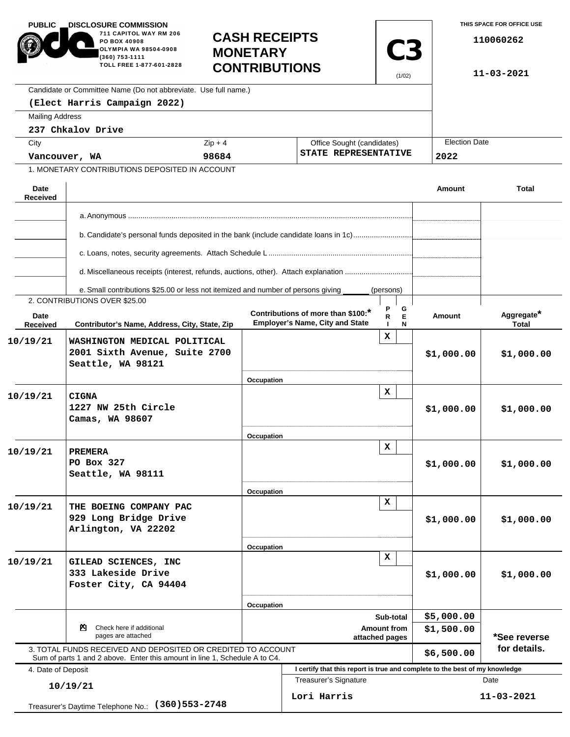| <b>PUBLIC</b>                                                                      | <b>DISCLOSURE COMMISSION</b><br>711 CAPITOL WAY RM 206<br><b>CASH RECEIPTS</b><br>PO BOX 40908<br>OLYMPIA WA 98504-0908<br><b>MONETARY</b><br>(360) 753-1111<br>TOLL FREE 1-877-601-2828<br><b>CONTRIBUTIONS</b> |            |                                                                                                             | <b>C3</b><br>(1/02)                                | THIS SPACE FOR OFFICE USE<br>110060262<br>11-03-2021 |                              |  |  |
|------------------------------------------------------------------------------------|------------------------------------------------------------------------------------------------------------------------------------------------------------------------------------------------------------------|------------|-------------------------------------------------------------------------------------------------------------|----------------------------------------------------|------------------------------------------------------|------------------------------|--|--|
|                                                                                    | Candidate or Committee Name (Do not abbreviate. Use full name.)                                                                                                                                                  |            |                                                                                                             |                                                    |                                                      |                              |  |  |
|                                                                                    | (Elect Harris Campaign 2022)                                                                                                                                                                                     |            |                                                                                                             |                                                    |                                                      |                              |  |  |
| <b>Mailing Address</b>                                                             |                                                                                                                                                                                                                  |            |                                                                                                             |                                                    |                                                      |                              |  |  |
|                                                                                    | 237 Chkalov Drive                                                                                                                                                                                                |            |                                                                                                             |                                                    |                                                      |                              |  |  |
| City                                                                               |                                                                                                                                                                                                                  | $Zip + 4$  |                                                                                                             | Office Sought (candidates)<br>STATE REPRESENTATIVE |                                                      | <b>Election Date</b><br>2022 |  |  |
| Vancouver, WA                                                                      |                                                                                                                                                                                                                  | 98684      |                                                                                                             |                                                    |                                                      |                              |  |  |
|                                                                                    | 1. MONETARY CONTRIBUTIONS DEPOSITED IN ACCOUNT                                                                                                                                                                   |            |                                                                                                             |                                                    |                                                      |                              |  |  |
| Date<br><b>Received</b>                                                            |                                                                                                                                                                                                                  |            |                                                                                                             |                                                    | Amount                                               | <b>Total</b>                 |  |  |
|                                                                                    |                                                                                                                                                                                                                  |            |                                                                                                             |                                                    |                                                      |                              |  |  |
|                                                                                    |                                                                                                                                                                                                                  |            |                                                                                                             |                                                    |                                                      |                              |  |  |
|                                                                                    | b. Candidate's personal funds deposited in the bank (include candidate loans in 1c)                                                                                                                              |            |                                                                                                             |                                                    |                                                      |                              |  |  |
|                                                                                    | d. Miscellaneous receipts (interest, refunds, auctions, other). Attach explanation                                                                                                                               |            |                                                                                                             |                                                    |                                                      |                              |  |  |
|                                                                                    | e. Small contributions \$25.00 or less not itemized and number of persons giving                                                                                                                                 |            |                                                                                                             | (persons)                                          |                                                      |                              |  |  |
|                                                                                    | 2. CONTRIBUTIONS OVER \$25.00                                                                                                                                                                                    |            |                                                                                                             |                                                    |                                                      |                              |  |  |
| Date<br>Received                                                                   | Contributor's Name, Address, City, State, Zip                                                                                                                                                                    |            | Contributions of more than \$100:*<br><b>Employer's Name, City and State</b>                                | G<br>E<br>R.<br>N                                  | <b>Amount</b>                                        | Aggregate*<br><b>Total</b>   |  |  |
| 10/19/21                                                                           | WASHINGTON MEDICAL POLITICAL<br>2001 Sixth Avenue, Suite 2700<br>Seattle, WA 98121                                                                                                                               |            |                                                                                                             | x                                                  | \$1,000.00                                           | \$1,000.00                   |  |  |
|                                                                                    |                                                                                                                                                                                                                  | Occupation |                                                                                                             |                                                    |                                                      |                              |  |  |
| 10/19/21                                                                           | <b>CIGNA</b><br>1227 NW 25th Circle<br>Camas, WA 98607                                                                                                                                                           |            |                                                                                                             | x                                                  | \$1,000.00                                           | \$1,000.00                   |  |  |
|                                                                                    |                                                                                                                                                                                                                  | Occupation |                                                                                                             |                                                    |                                                      |                              |  |  |
| 10/19/21                                                                           | <b>PREMERA</b><br>PO Box 327<br>Seattle, WA 98111                                                                                                                                                                |            |                                                                                                             | x                                                  | \$1,000.00                                           | \$1,000.00                   |  |  |
|                                                                                    |                                                                                                                                                                                                                  | Occupation |                                                                                                             |                                                    |                                                      |                              |  |  |
| 10/19/21                                                                           | THE BOEING COMPANY PAC<br>929 Long Bridge Drive<br>Arlington, VA 22202                                                                                                                                           |            |                                                                                                             | $\mathbf x$                                        | \$1,000.00                                           | \$1,000.00                   |  |  |
|                                                                                    |                                                                                                                                                                                                                  | Occupation |                                                                                                             |                                                    |                                                      |                              |  |  |
| 10/19/21                                                                           | GILEAD SCIENCES, INC<br>333 Lakeside Drive<br>Foster City, CA 94404                                                                                                                                              |            | x                                                                                                           |                                                    | \$1,000.00                                           | \$1,000.00                   |  |  |
|                                                                                    |                                                                                                                                                                                                                  |            | Occupation<br>Sub-total                                                                                     |                                                    |                                                      |                              |  |  |
|                                                                                    | Check here if additional<br>ॺ                                                                                                                                                                                    |            | <b>Amount from</b>                                                                                          |                                                    |                                                      | \$5,000.00                   |  |  |
| pages are attached<br>3. TOTAL FUNDS RECEIVED AND DEPOSITED OR CREDITED TO ACCOUNT |                                                                                                                                                                                                                  |            | attached pages                                                                                              |                                                    | \$1,500.00<br>\$6,500.00                             | *See reverse<br>for details. |  |  |
|                                                                                    | Sum of parts 1 and 2 above. Enter this amount in line 1, Schedule A to C4.                                                                                                                                       |            |                                                                                                             |                                                    |                                                      |                              |  |  |
| 4. Date of Deposit                                                                 |                                                                                                                                                                                                                  |            | I certify that this report is true and complete to the best of my knowledge<br><b>Treasurer's Signature</b> |                                                    | Date                                                 |                              |  |  |
|                                                                                    | 10/19/21<br>Treasurer's Daytime Telephone No.: (360) 553-2748                                                                                                                                                    |            | Lori Harris                                                                                                 |                                                    |                                                      | 11-03-2021                   |  |  |